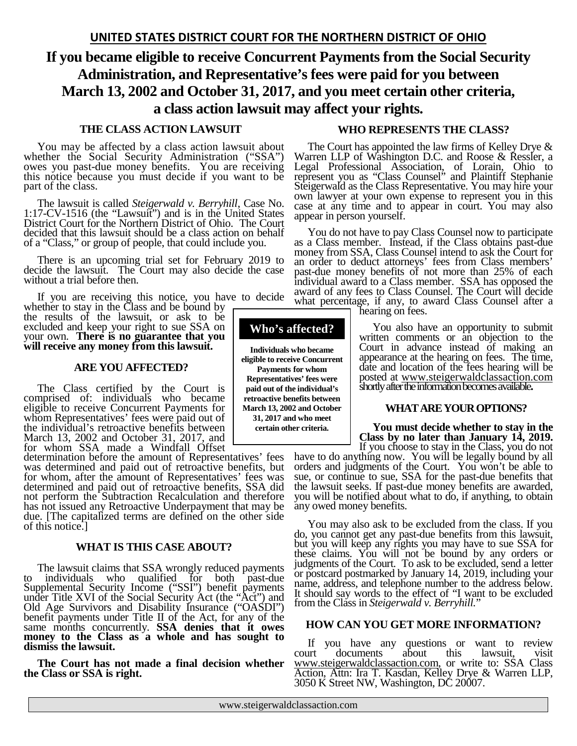# **If you became eligible to receive Concurrent Payments from the Social Security Administration, and Representative's fees were paid for you between March 13, 2002 and October 31, 2017, and you meet certain other criteria, a class action lawsuit may affect your rights.**

**Who's affected?**

**Individuals who became eligible to receive Concurrent Payments for whom Representatives' fees were paid out of the individual's retroactive benefits between March 13, 2002 and October 31, 2017 and who meet certain other criteria.**

## **THE CLASS ACTION LAWSUIT**

You may be affected by a class action lawsuit about whether the Social Security Administration ("SSA") owes you past-due money benefits. You are receiving this notice because you must decide if you want to be part of the class.

The lawsuit is called *Steigerwald v. Berryhill,* Case No. 1:17-CV-1516 (the "Lawsuit") and is in the United States District Court for the Northern District of Ohio. The Court decided that this lawsuit should be a class action on behalf of a "Class," or group of people, that could include you.

There is an upcoming trial set for February 2019 to decide the lawsuit. The Court may also decide the case without a trial before then.

If you are receiving this notice, you have to decide whether to stay in the Class and be bound by

the results of the lawsuit, or ask to be excluded and keep your right to sue SSA on your own. **There is no guarantee that you will receive any money from this lawsuit.** 

#### **ARE YOU AFFECTED?**

The Class certified by the Court is comprised of: individuals who became eligible to receive Concurrent Payments for whom Representatives' fees were paid out of the individual's retroactive benefits between March 13, 2002 and October 31, 2017, and for whom SSA made a Windfall Offset

determination before the amount of Representatives' fees was determined and paid out of retroactive benefits, but for whom, after the amount of Representatives' fees was determined and paid out of retroactive benefits, SSA did not perform the Subtraction Recalculation and therefore has not issued any Retroactive Underpayment that may be due. [The capitalized terms are defined on the other side of this notice.]

## **WHAT IS THIS CASE ABOUT?**

The lawsuit claims that SSA wrongly reduced payments to individuals who qualified for both past-due Supplemental Security Income ("SSI") benefit payments under Title XVI of the Social Security Act (the "Act") and Old Age Survivors and Disability Insurance ("OASDI") benefit payments under Title II of the Act, for any of the same months concurrently. **SSA denies that it owes** money to the Class as a whole and has sought to dismiss the lawsuit.

**The Court has not made a final decision whether the Class or SSA is right.**

#### **WHO REPRESENTS THE CLASS?**

The Court has appointed the law firms of Kelley Drye & Warren LLP of Washington D.C. and Roose & Ressler, a Legal Professional Association, of Lorain, Ohio to represent you as "Class Counsel" and Plaintiff Stephanie Steigerwald as the Class Representative. You may hire your own lawyer at your own expense to represent you in this case at any time and to appear in court. You may also appear in person yourself.

You do not have to pay Class Counsel now to participate as a Class member. Instead, if the Class obtains past-due money from SSA, Class Counsel intend to ask the Court for an order to deduct attorneys' fees from Class members' past-due money benefits of not more than 25% of each individual award to a Class member. SSA has opposed the award of any fees to Class Counsel. The Court will decide what percentage, if any, to award Class Counsel after a hearing on fees.

You also have an opportunity to submit written comments or an objection to the Court in advance instead of making an appearance at the hearing on fees. The time, date and location of the fees hearing will be posted at [www.steigerwaldclassaction.com](http://www.steigerwaldclassaction.com/) shortly after the information becomes available**.**

#### **WHAT ARE YOUR OPTIONS?**

**Example 18 Class by no later than January 14, 2019.**<br> **If** you choose to stay in the Class, you do not have to do anything now. You will be legally bound by all

orders and judgments of the Court. You won't be able to sue, or continue to sue, SSA for the past-due benefits that the lawsuit seeks. If past-due money benefits are awarded, you will be notified about what to do, if anything, to obtain any owed money benefits.

You may also ask to be excluded from the class. If you do, you cannot get any past-due benefits from this lawsuit, but you will keep any rights you may have to sue SSA for these claims. You will not be bound by any orders or judgments of the Court. To ask to be excluded, send a letter or postcard postmarked by January 14, 2019, including your name, address, and telephone number to the address below. It should say words to the effect of "I want to be excluded from the Class in *Steigerwald v. Berryhill.*"

#### **HOW CAN YOU GET MORE INFORMATION?**

If you have any questions or want to review court documents about this lawsuit, visit [www.steigerwaldclassaction.com,](http://www.steigerwaldclassaction.com/) or write to: SSA Class Action, Attn: Ira T. Kasdan, Kelley Drye & Warren LLP, 3050 K Street NW, Washington, DC 20007.